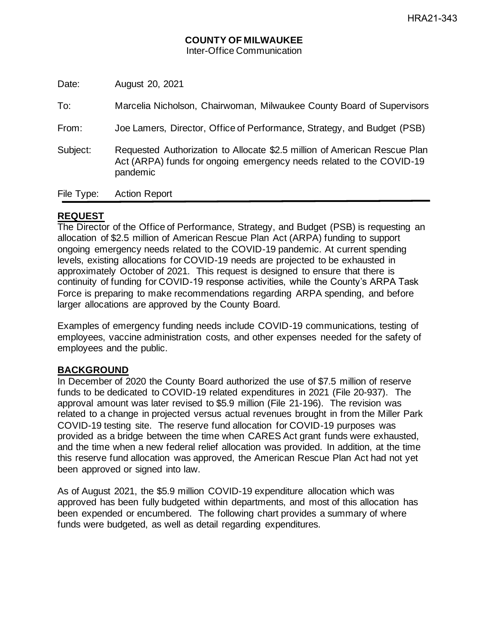Date: August 20, 2021

To: Marcelia Nicholson, Chairwoman, Milwaukee County Board of Supervisors

From: Joe Lamers, Director, Office of Performance, Strategy, and Budget (PSB)

Subject: Requested Authorization to Allocate \$2.5 million of American Rescue Plan Act (ARPA) funds for ongoing emergency needs related to the COVID-19 pandemic

File Type: Action Report

# **REQUEST**

The Director of the Office of Performance, Strategy, and Budget (PSB) is requesting an allocation of \$2.5 million of American Rescue Plan Act (ARPA) funding to support ongoing emergency needs related to the COVID-19 pandemic. At current spending levels, existing allocations for COVID-19 needs are projected to be exhausted in approximately October of 2021. This request is designed to ensure that there is continuity of funding for COVID-19 response activities, while the County's ARPA Task Force is preparing to make recommendations regarding ARPA spending, and before larger allocations are approved by the County Board.

Examples of emergency funding needs include COVID-19 communications, testing of employees, vaccine administration costs, and other expenses needed for the safety of employees and the public.

# **BACKGROUND**

In December of 2020 the County Board authorized the use of \$7.5 million of reserve funds to be dedicated to COVID-19 related expenditures in 2021 (File 20-937). The approval amount was later revised to \$5.9 million (File 21-196). The revision was related to a change in projected versus actual revenues brought in from the Miller Park COVID-19 testing site. The reserve fund allocation for COVID-19 purposes was provided as a bridge between the time when CARES Act grant funds were exhausted, and the time when a new federal relief allocation was provided. In addition, at the time this reserve fund allocation was approved, the American Rescue Plan Act had not yet been approved or signed into law.

As of August 2021, the \$5.9 million COVID-19 expenditure allocation which was approved has been fully budgeted within departments, and most of this allocation has been expended or encumbered. The following chart provides a summary of where funds were budgeted, as well as detail regarding expenditures.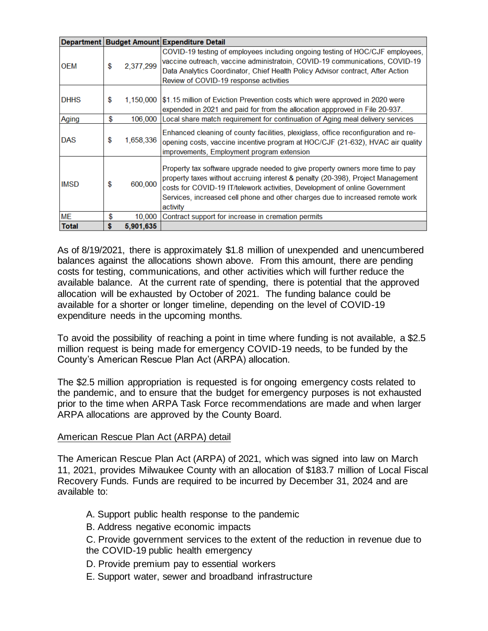|              |                 | Department   Budget Amount   Expenditure Detail                                                                                                                                                                                                                                                                                              |
|--------------|-----------------|----------------------------------------------------------------------------------------------------------------------------------------------------------------------------------------------------------------------------------------------------------------------------------------------------------------------------------------------|
| <b>OEM</b>   | \$<br>2,377,299 | COVID-19 testing of employees including ongoing testing of HOC/CJF employees,<br>vaccine outreach, vaccine administratoin, COVID-19 communications, COVID-19<br>Data Analytics Coordinator, Chief Health Policy Advisor contract, After Action<br>Review of COVID-19 response activities                                                     |
| <b>DHHS</b>  | \$<br>1,150,000 | \$1.15 million of Eviction Prevention costs which were approved in 2020 were<br>expended in 2021 and paid for from the allocation appproved in File 20-937.                                                                                                                                                                                  |
| Aging        | \$<br>106,000   | Local share match requirement for continuation of Aging meal delivery services                                                                                                                                                                                                                                                               |
| <b>DAS</b>   | \$<br>1,658,336 | Enhanced cleaning of county facilities, plexiglass, office reconfiguration and re-<br>opening costs, vaccine incentive program at HOC/CJF (21-632), HVAC air quality<br>improvements, Employment program extension                                                                                                                           |
| <b>IMSD</b>  | \$<br>600,000   | Property tax software upgrade needed to give property owners more time to pay<br>property taxes without accruing interest & penalty (20-398), Project Management<br>costs for COVID-19 IT/telework activities, Development of online Government<br>Services, increased cell phone and other charges due to increased remote work<br>activity |
| <b>ME</b>    | \$<br>10,000    | Contract support for increase in cremation permits                                                                                                                                                                                                                                                                                           |
| <b>Total</b> | \$<br>5,901,635 |                                                                                                                                                                                                                                                                                                                                              |

As of 8/19/2021, there is approximately \$1.8 million of unexpended and unencumbered balances against the allocations shown above. From this amount, there are pending costs for testing, communications, and other activities which will further reduce the available balance. At the current rate of spending, there is potential that the approved allocation will be exhausted by October of 2021. The funding balance could be available for a shorter or longer timeline, depending on the level of COVID-19 expenditure needs in the upcoming months.

To avoid the possibility of reaching a point in time where funding is not available, a \$2.5 million request is being made for emergency COVID-19 needs, to be funded by the County's American Rescue Plan Act (ARPA) allocation.

The \$2.5 million appropriation is requested is for ongoing emergency costs related to the pandemic, and to ensure that the budget for emergency purposes is not exhausted prior to the time when ARPA Task Force recommendations are made and when larger ARPA allocations are approved by the County Board.

# American Rescue Plan Act (ARPA) detail

The American Rescue Plan Act (ARPA) of 2021, which was signed into law on March 11, 2021, provides Milwaukee County with an allocation of \$183.7 million of Local Fiscal Recovery Funds. Funds are required to be incurred by December 31, 2024 and are available to:

- A. Support public health response to the pandemic
- B. Address negative economic impacts
- C. Provide government services to the extent of the reduction in revenue due to the COVID-19 public health emergency
- D. Provide premium pay to essential workers
- E. Support water, sewer and broadband infrastructure